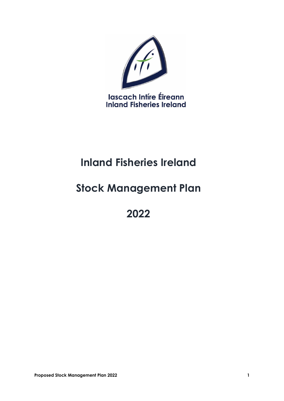

# **Inland Fisheries Ireland**

## **Stock Management Plan**

**2022**

**Proposed Stock Management Plan 2022** 1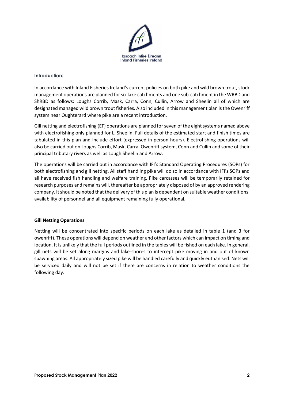

#### **Introduction:**

In accordance with Inland Fisheries Ireland's current policies on both pike and wild brown trout, stock management operations are planned for six lake catchments and one sub-catchment in the WRBD and ShRBD as follows: Loughs Corrib, Mask, Carra, Conn, Cullin, Arrow and Sheelin all of which are designated managed wild brown trout fisheries. Also included in this management plan is the Owenriff system near Oughterard where pike are a recent introduction.

Gill netting and electrofishing (EF) operations are planned for seven of the eight systems named above with electrofishing only planned for L. Sheelin. Full details of the estimated start and finish times are tabulated in this plan and include effort (expressed in person hours). Electrofishing operations will also be carried out on Loughs Corrib, Mask, Carra, Owenriff system, Conn and Cullin and some of their principal tributary rivers as well as Lough Sheelin and Arrow.

The operations will be carried out in accordance with IFI's Standard Operating Procedures (SOPs) for both electrofishing and gill netting. All staff handling pike will do so in accordance with IFI's SOPs and all have received fish handling and welfare training. Pike carcasses will be temporarily retained for research purposes and remains will, thereafter be appropriately disposed of by an approved rendering company. It should be noted that the delivery of this plan is dependent on suitable weather conditions, availability of personnel and all equipment remaining fully operational.

### **Gill Netting Operations**

Netting will be concentrated into specific periods on each lake as detailed in table 1 (and 3 for owenriff). These operations will depend on weather and other factors which can impact on timing and location. It is unlikely that the full periods outlined in the tables will be fished on each lake. In general, gill nets will be set along margins and lake-shores to intercept pike moving in and out of known spawning areas. All appropriately sized pike will be handled carefully and quickly euthanised. Nets will be serviced daily and will not be set if there are concerns in relation to weather conditions the following day.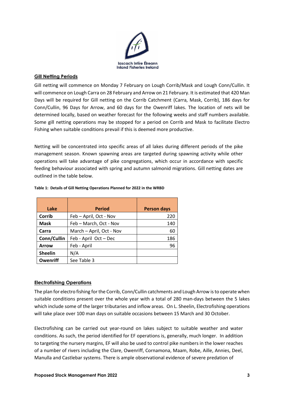

#### **Gill Netting Periods**

Gill netting will commence on Monday 7 February on Lough Corrib/Mask and Lough Conn/Cullin. It will commence on Lough Carra on 28 February and Arrow on 21 February. It is estimated that 420 Man Days will be required for Gill netting on the Corrib Catchment (Carra, Mask, Corrib), 186 days for Conn/Cullin, 96 Days for Arrow, and 60 days for the Owenriff lakes. The location of nets will be determined locally, based on weather forecast for the following weeks and staff numbers available. Some gill netting operations may be stopped for a period on Corrib and Mask to facilitate Electro Fishing when suitable conditions prevail if this is deemed more productive.

Netting will be concentrated into specific areas of all lakes during different periods of the pike management season. Known spawning areas are targeted during spawning activity while other operations will take advantage of pike congregations, which occur in accordance with specific feeding behaviour associated with spring and autumn salmonid migrations. Gill netting dates are outlined in the table below.

| Lake           | <b>Period</b>            | <b>Person days</b> |
|----------------|--------------------------|--------------------|
| Corrib         | Feb - April, Oct - Nov   | 220                |
| <b>Mask</b>    | Feb - March, Oct - Nov   | 140                |
| Carra          | March - April, Oct - Nov | 60                 |
| Conn/Cullin    | Feb - April Oct - Dec    | 186                |
| <b>Arrow</b>   | Feb - April              | 96                 |
| <b>Sheelin</b> | N/A                      |                    |
| Owenriff       | See Table 3              |                    |

#### **Table 1: Details of Gill Netting Operations Planned for 2022 in the WRBD**

#### **Electrofishing Operations**

The plan for electro fishing for the Corrib, Conn/Cullin catchments and Lough Arrow is to operate when suitable conditions present over the whole year with a total of 280 man-days between the 5 lakes which include some of the larger tributaries and inflow areas. On L. Sheelin, Electrofishing operations will take place over 100 man days on suitable occasions between 15 March and 30 October.

Electrofishing can be carried out year-round on lakes subject to suitable weather and water conditions. As such, the period identified for EF operations is, generally, much longer. In addition to targeting the nursery margins, EF will also be used to control pike numbers in the lower reaches of a number of rivers including the Clare, Owenriff, Cornamona, Maam, Robe, Aille, Annies, Deel, Manulla and Castlebar systems. There is ample observational evidence of severe predation of